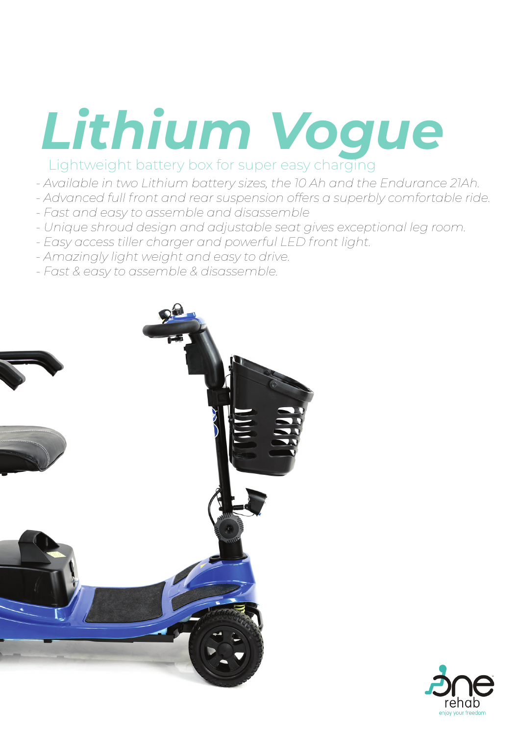## Lithium Vogue

- *Available in two Lithium battery sizes, the 10 Ah and the Endurance 21Ah.*
- *Advanced full front and rear suspension offers a superbly comfortable ride.*
- *Fast and easy to assemble and disassemble*
- *Unique shroud design and adjustable seat gives exceptional leg room.*
- *Easy access tiller charger and powerful LED front light.*
- *Amazingly light weight and easy to drive.*
- *Fast & easy to assemble & disassemble.*